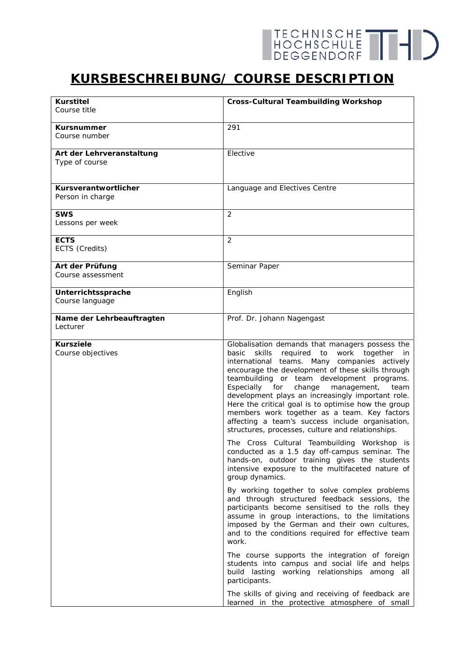## **KURSBESCHREIBUNG/ COURSE DESCRIPTION**

| <b>Kurstitel</b>                      | <b>Cross-Cultural Teambuilding Workshop</b>                                                                                                                                                                                                                                                                                                                                                                                                                                                                                                                                         |
|---------------------------------------|-------------------------------------------------------------------------------------------------------------------------------------------------------------------------------------------------------------------------------------------------------------------------------------------------------------------------------------------------------------------------------------------------------------------------------------------------------------------------------------------------------------------------------------------------------------------------------------|
| Course title                          |                                                                                                                                                                                                                                                                                                                                                                                                                                                                                                                                                                                     |
| Kursnummer                            | 291                                                                                                                                                                                                                                                                                                                                                                                                                                                                                                                                                                                 |
| Course number                         |                                                                                                                                                                                                                                                                                                                                                                                                                                                                                                                                                                                     |
| Art der Lehrveranstaltung             | Elective                                                                                                                                                                                                                                                                                                                                                                                                                                                                                                                                                                            |
| Type of course                        |                                                                                                                                                                                                                                                                                                                                                                                                                                                                                                                                                                                     |
|                                       |                                                                                                                                                                                                                                                                                                                                                                                                                                                                                                                                                                                     |
| Kursverantwortlicher                  | Language and Electives Centre                                                                                                                                                                                                                                                                                                                                                                                                                                                                                                                                                       |
| Person in charge                      |                                                                                                                                                                                                                                                                                                                                                                                                                                                                                                                                                                                     |
| SWS                                   | 2                                                                                                                                                                                                                                                                                                                                                                                                                                                                                                                                                                                   |
| Lessons per week                      |                                                                                                                                                                                                                                                                                                                                                                                                                                                                                                                                                                                     |
| <b>ECTS</b>                           | 2                                                                                                                                                                                                                                                                                                                                                                                                                                                                                                                                                                                   |
| ECTS (Credits)                        |                                                                                                                                                                                                                                                                                                                                                                                                                                                                                                                                                                                     |
| Art der Prüfung                       | Seminar Paper                                                                                                                                                                                                                                                                                                                                                                                                                                                                                                                                                                       |
| Course assessment                     |                                                                                                                                                                                                                                                                                                                                                                                                                                                                                                                                                                                     |
| Unterrichtssprache                    | English                                                                                                                                                                                                                                                                                                                                                                                                                                                                                                                                                                             |
| Course language                       |                                                                                                                                                                                                                                                                                                                                                                                                                                                                                                                                                                                     |
| Name der Lehrbeauftragten             | Prof. Dr. Johann Nagengast                                                                                                                                                                                                                                                                                                                                                                                                                                                                                                                                                          |
| Lecturer                              |                                                                                                                                                                                                                                                                                                                                                                                                                                                                                                                                                                                     |
| <b>Kursziele</b><br>Course objectives | Globalisation demands that managers possess the<br>skills<br>required to work together<br>basic<br>in<br>international teams. Many companies actively<br>encourage the development of these skills through<br>teambuilding or team development programs.<br>Especially<br>for<br>change<br>management,<br>team<br>development plays an increasingly important role.<br>Here the critical goal is to optimise how the group<br>members work together as a team. Key factors<br>affecting a team's success include organisation,<br>structures, processes, culture and relationships. |
|                                       | The Cross Cultural Teambuilding Workshop is<br>conducted as a 1.5 day off-campus seminar. The<br>hands-on, outdoor training gives the students<br>intensive exposure to the multifaceted nature of<br>group dynamics.                                                                                                                                                                                                                                                                                                                                                               |
|                                       | By working together to solve complex problems<br>and through structured feedback sessions, the<br>participants become sensitised to the rolls they<br>assume in group interactions, to the limitations<br>imposed by the German and their own cultures,<br>and to the conditions required for effective team<br>work.                                                                                                                                                                                                                                                               |
|                                       | The course supports the integration of foreign<br>students into campus and social life and helps<br>build lasting working relationships among all<br>participants.                                                                                                                                                                                                                                                                                                                                                                                                                  |
|                                       | The skills of giving and receiving of feedback are<br>learned in the protective atmosphere of small                                                                                                                                                                                                                                                                                                                                                                                                                                                                                 |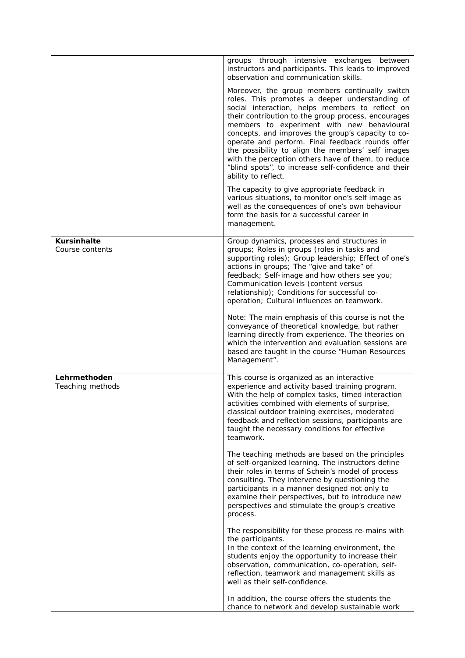|                                       | groups through intensive exchanges between<br>instructors and participants. This leads to improved<br>observation and communication skills.                                                                                                                                                                                                                                                                                                                                                                                                                  |
|---------------------------------------|--------------------------------------------------------------------------------------------------------------------------------------------------------------------------------------------------------------------------------------------------------------------------------------------------------------------------------------------------------------------------------------------------------------------------------------------------------------------------------------------------------------------------------------------------------------|
|                                       | Moreover, the group members continually switch<br>roles. This promotes a deeper understanding of<br>social interaction, helps members to reflect on<br>their contribution to the group process, encourages<br>members to experiment with new behavioural<br>concepts, and improves the group's capacity to co-<br>operate and perform. Final feedback rounds offer<br>the possibility to align the members' self images<br>with the perception others have of them, to reduce<br>"blind spots", to increase self-confidence and their<br>ability to reflect. |
|                                       | The capacity to give appropriate feedback in<br>various situations, to monitor one's self image as<br>well as the consequences of one's own behaviour<br>form the basis for a successful career in<br>management.                                                                                                                                                                                                                                                                                                                                            |
| <b>Kursinhalte</b><br>Course contents | Group dynamics, processes and structures in<br>groups; Roles in groups (roles in tasks and<br>supporting roles); Group leadership; Effect of one's<br>actions in groups; The "give and take" of<br>feedback; Self-image and how others see you;<br>Communication levels (content versus<br>relationship); Conditions for successful co-<br>operation; Cultural influences on teamwork.                                                                                                                                                                       |
|                                       | Note: The main emphasis of this course is not the<br>conveyance of theoretical knowledge, but rather<br>learning directly from experience. The theories on<br>which the intervention and evaluation sessions are<br>based are taught in the course "Human Resources<br>Management".                                                                                                                                                                                                                                                                          |
| Lehrmethoden<br>Teaching methods      | This course is organized as an interactive<br>experience and activity based training program.<br>With the help of complex tasks, timed interaction<br>activities combined with elements of surprise,<br>classical outdoor training exercises, moderated<br>feedback and reflection sessions, participants are<br>taught the necessary conditions for effective<br>teamwork.                                                                                                                                                                                  |
|                                       | The teaching methods are based on the principles<br>of self-organized learning. The instructors define<br>their roles in terms of Schein's model of process<br>consulting. They intervene by questioning the<br>participants in a manner designed not only to<br>examine their perspectives, but to introduce new<br>perspectives and stimulate the group's creative<br>process.                                                                                                                                                                             |
|                                       | The responsibility for these process re-mains with<br>the participants.<br>In the context of the learning environment, the<br>students enjoy the opportunity to increase their<br>observation, communication, co-operation, self-<br>reflection, teamwork and management skills as<br>well as their self-confidence.                                                                                                                                                                                                                                         |
|                                       | In addition, the course offers the students the<br>chance to network and develop sustainable work                                                                                                                                                                                                                                                                                                                                                                                                                                                            |